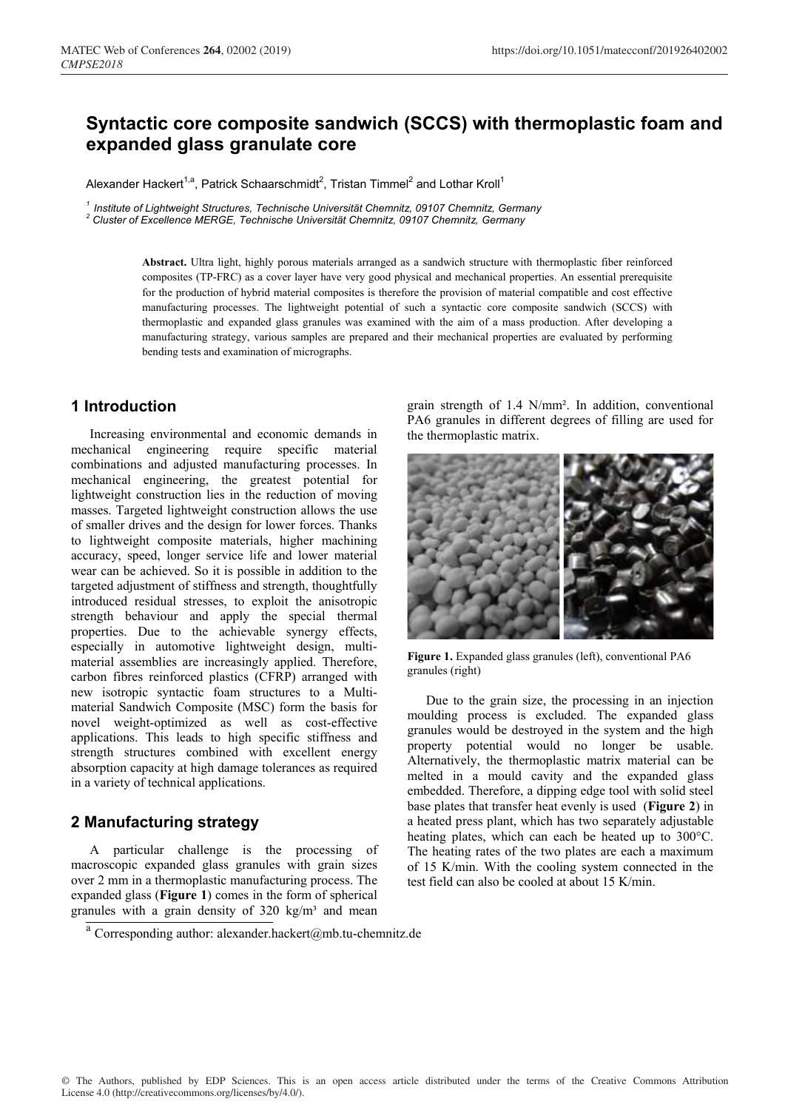# **Syntactic core composite sandwich (SCCS) with thermoplastic foam and expanded glass granulate core**

Alexander Hackert<sup>1,a</sup>, Patrick Schaarschmidt<sup>2</sup>, Tristan Timmel<sup>2</sup> and Lothar Kroll<sup>1</sup>

*<sup>1</sup> Institute of Lightweight Structures, Technische Universität Chemnitz, 09107 Chemnitz, Germany <sup>2</sup> Cluster of Excellence MERGE, Technische Universität Chemnitz, 09107 Chemnitz, Germany*

**Abstract.** Ultra light, highly porous materials arranged as a sandwich structure with thermoplastic fiber reinforced composites (TP-FRC) as a cover layer have very good physical and mechanical properties. An essential prerequisite for the production of hybrid material composites is therefore the provision of material compatible and cost effective manufacturing processes. The lightweight potential of such a syntactic core composite sandwich (SCCS) with thermoplastic and expanded glass granules was examined with the aim of a mass production. After developing a manufacturing strategy, various samples are prepared and their mechanical properties are evaluated by performing bending tests and examination of micrographs.

## **1 Introduction**

Increasing environmental and economic demands in mechanical engineering require specific material combinations and adjusted manufacturing processes. In mechanical engineering, the greatest potential for lightweight construction lies in the reduction of moving masses. Targeted lightweight construction allows the use of smaller drives and the design for lower forces. Thanks to lightweight composite materials, higher machining accuracy, speed, longer service life and lower material wear can be achieved. So it is possible in addition to the targeted adjustment of stiffness and strength, thoughtfully introduced residual stresses, to exploit the anisotropic strength behaviour and apply the special thermal properties. Due to the achievable synergy effects, especially in automotive lightweight design, multimaterial assemblies are increasingly applied. Therefore, carbon fibres reinforced plastics (CFRP) arranged with new isotropic syntactic foam structures to a Multimaterial Sandwich Composite (MSC) form the basis for novel weight-optimized as well as cost-effective applications. This leads to high specific stiffness and strength structures combined with excellent energy absorption capacity at high damage tolerances as required in a variety of technical applications.

## **2 Manufacturing strategy**

A particular challenge is the processing of macroscopic expanded glass granules with grain sizes over 2 mm in a thermoplastic manufacturing process. The expanded glass (**Figure 1**) comes in the form of spherical granules with a grain density of  $320 \text{ kg/m}^3$  and mean

grain strength of 1.4 N/mm². In addition, conventional PA6 granules in different degrees of filling are used for the thermoplastic matrix.



**Figure 1.** Expanded glass granules (left), conventional PA6 granules (right)

Due to the grain size, the processing in an injection moulding process is excluded. The expanded glass granules would be destroyed in the system and the high property potential would no longer be usable. Alternatively, the thermoplastic matrix material can be melted in a mould cavity and the expanded glass embedded. Therefore, a dipping edge tool with solid steel base plates that transfer heat evenly is used (**Figure 2**) in a heated press plant, which has two separately adjustable heating plates, which can each be heated up to 300°C. The heating rates of the two plates are each a maximum of 15 K/min. With the cooling system connected in the test field can also be cooled at about 15 K/min.

<sup>&</sup>lt;sup>a</sup> Corresponding author: alexander.hackert@mb.tu-chemnitz.de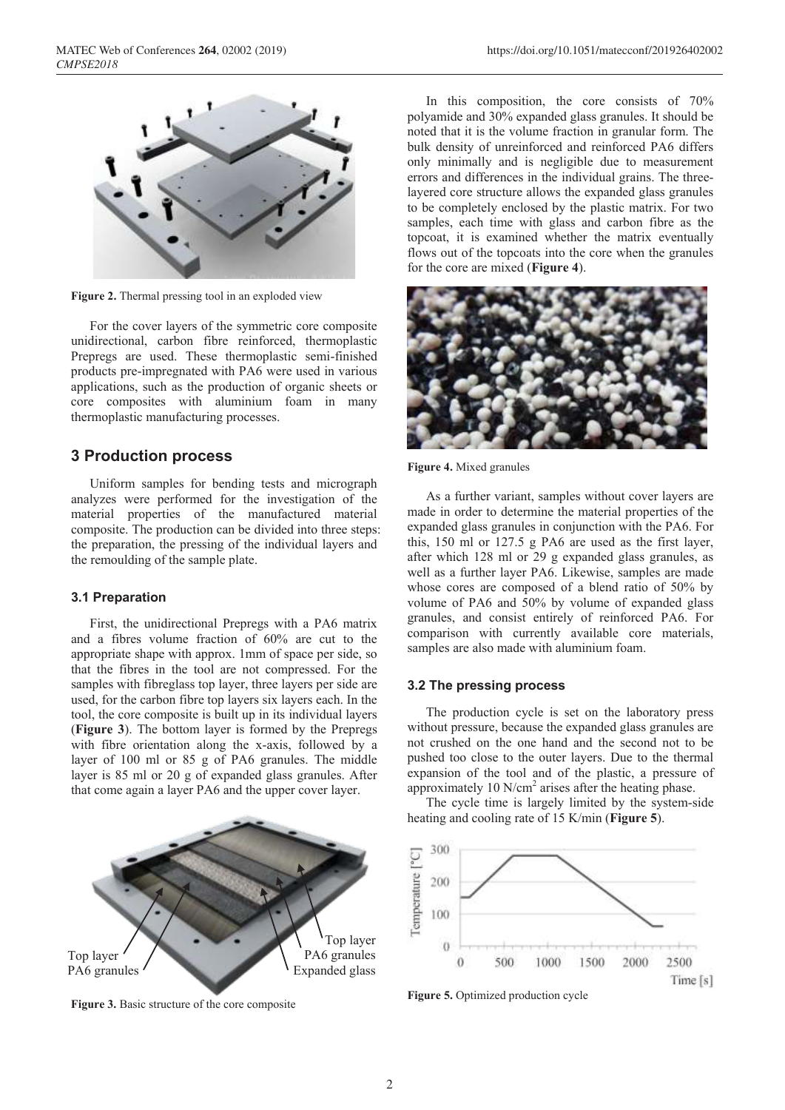

**Figure 2.** Thermal pressing tool in an exploded view

For the cover layers of the symmetric core composite unidirectional, carbon fibre reinforced, thermoplastic Prepregs are used. These thermoplastic semi-finished products pre-impregnated with PA6 were used in various applications, such as the production of organic sheets or core composites with aluminium foam in many thermoplastic manufacturing processes.

### **3 Production process**

Uniform samples for bending tests and micrograph analyzes were performed for the investigation of the material properties of the manufactured material composite. The production can be divided into three steps: the preparation, the pressing of the individual layers and the remoulding of the sample plate.

#### **3.1 Preparation**

First, the unidirectional Prepregs with a PA6 matrix and a fibres volume fraction of 60% are cut to the appropriate shape with approx. 1mm of space per side, so that the fibres in the tool are not compressed. For the samples with fibreglass top layer, three layers per side are used, for the carbon fibre top layers six layers each. In the tool, the core composite is built up in its individual layers (**Figure 3**). The bottom layer is formed by the Prepregs with fibre orientation along the x-axis, followed by a layer of 100 ml or 85 g of PA6 granules. The middle layer is 85 ml or 20 g of expanded glass granules. After that come again a layer PA6 and the upper cover layer.



**Figure 3.** Basic structure of the core composite

In this composition, the core consists of 70% polyamide and 30% expanded glass granules. It should be noted that it is the volume fraction in granular form. The bulk density of unreinforced and reinforced PA6 differs only minimally and is negligible due to measurement errors and differences in the individual grains. The threelayered core structure allows the expanded glass granules to be completely enclosed by the plastic matrix. For two samples, each time with glass and carbon fibre as the topcoat, it is examined whether the matrix eventually flows out of the topcoats into the core when the granules for the core are mixed (**Figure 4**).



**Figure 4.** Mixed granules

As a further variant, samples without cover layers are made in order to determine the material properties of the expanded glass granules in conjunction with the PA6. For this, 150 ml or 127.5 g PA6 are used as the first layer, after which 128 ml or 29 g expanded glass granules, as well as a further layer PA6. Likewise, samples are made whose cores are composed of a blend ratio of 50% by volume of PA6 and 50% by volume of expanded glass granules, and consist entirely of reinforced PA6. For comparison with currently available core materials, samples are also made with aluminium foam.

### **3.2 The pressing process**

The production cycle is set on the laboratory press without pressure, because the expanded glass granules are not crushed on the one hand and the second not to be pushed too close to the outer layers. Due to the thermal expansion of the tool and of the plastic, a pressure of approximately 10  $N/cm<sup>2</sup>$  arises after the heating phase.

The cycle time is largely limited by the system-side heating and cooling rate of 15 K/min (**Figure 5**).



**Figure 5.** Optimized production cycle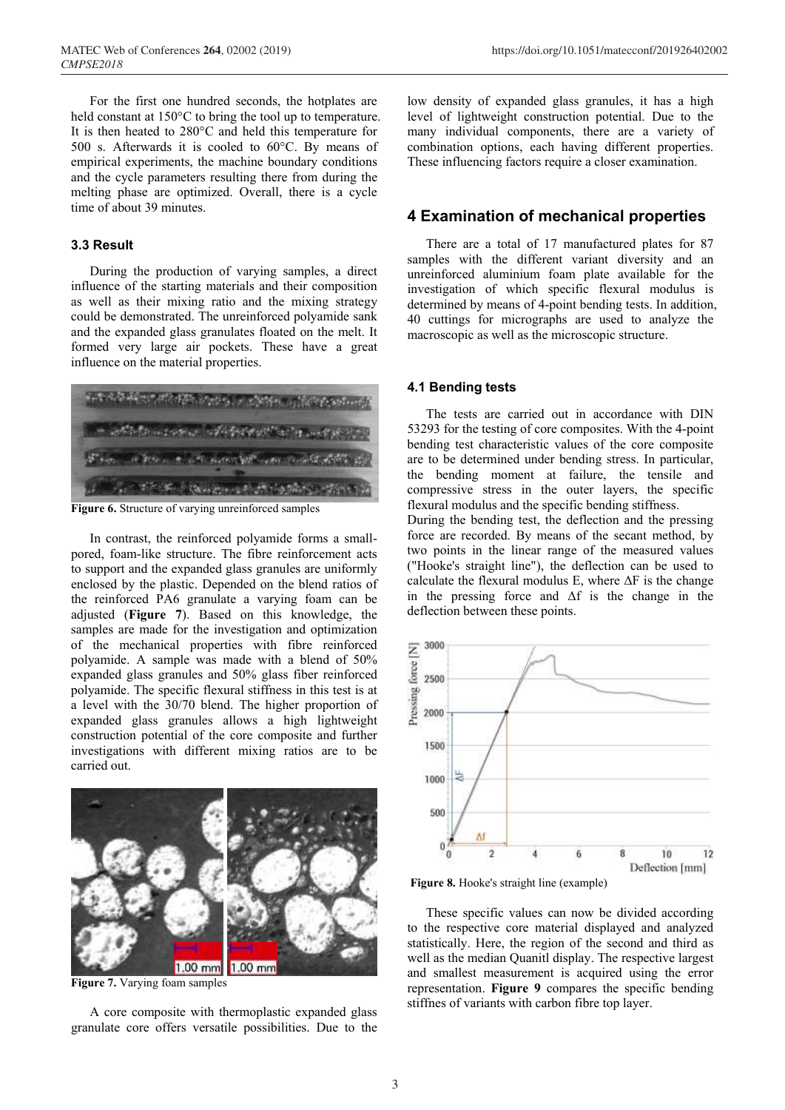For the first one hundred seconds, the hotplates are held constant at 150°C to bring the tool up to temperature. It is then heated to 280°C and held this temperature for 500 s. Afterwards it is cooled to 60°C. By means of empirical experiments, the machine boundary conditions and the cycle parameters resulting there from during the melting phase are optimized. Overall, there is a cycle time of about 39 minutes.

### **3.3 Result**

During the production of varying samples, a direct influence of the starting materials and their composition as well as their mixing ratio and the mixing strategy could be demonstrated. The unreinforced polyamide sank and the expanded glass granulates floated on the melt. It formed very large air pockets. These have a great influence on the material properties.



**Figure 6.** Structure of varying unreinforced samples

In contrast, the reinforced polyamide forms a smallpored, foam-like structure. The fibre reinforcement acts to support and the expanded glass granules are uniformly enclosed by the plastic. Depended on the blend ratios of the reinforced PA6 granulate a varying foam can be adjusted (**Figure 7**). Based on this knowledge, the samples are made for the investigation and optimization of the mechanical properties with fibre reinforced polyamide. A sample was made with a blend of 50% expanded glass granules and 50% glass fiber reinforced polyamide. The specific flexural stiffness in this test is at a level with the 30/70 blend. The higher proportion of expanded glass granules allows a high lightweight construction potential of the core composite and further investigations with different mixing ratios are to be carried out.



**Figure 7.** Varying foam samples

A core composite with thermoplastic expanded glass granulate core offers versatile possibilities. Due to the low density of expanded glass granules, it has a high level of lightweight construction potential. Due to the many individual components, there are a variety of combination options, each having different properties. These influencing factors require a closer examination.

### **4 Examination of mechanical properties**

There are a total of 17 manufactured plates for 87 samples with the different variant diversity and an unreinforced aluminium foam plate available for the investigation of which specific flexural modulus is determined by means of 4-point bending tests. In addition, 40 cuttings for micrographs are used to analyze the macroscopic as well as the microscopic structure.

#### **4.1 Bending tests**

The tests are carried out in accordance with DIN 53293 for the testing of core composites. With the 4-point bending test characteristic values of the core composite are to be determined under bending stress. In particular, the bending moment at failure, the tensile and compressive stress in the outer layers, the specific flexural modulus and the specific bending stiffness. During the bending test, the deflection and the pressing force are recorded. By means of the secant method, by two points in the linear range of the measured values ("Hooke's straight line"), the deflection can be used to calculate the flexural modulus E, where  $\Delta F$  is the change in the pressing force and  $\Delta f$  is the change in the deflection between these points.



**Figure 8.** Hooke's straight line (example)

These specific values can now be divided according to the respective core material displayed and analyzed statistically. Here, the region of the second and third as well as the median Quanitl display. The respective largest and smallest measurement is acquired using the error representation. **Figure 9** compares the specific bending stiffnes of variants with carbon fibre top layer.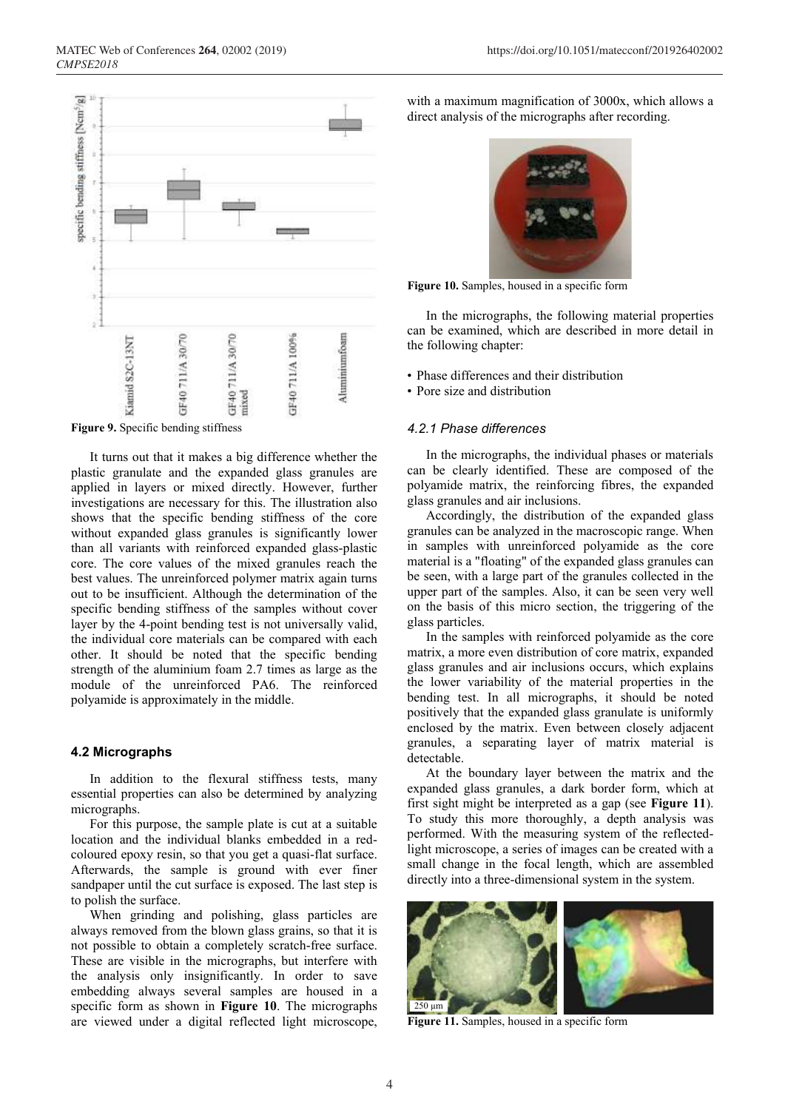

**Figure 9.** Specific bending stiffness

It turns out that it makes a big difference whether the plastic granulate and the expanded glass granules are applied in layers or mixed directly. However, further investigations are necessary for this. The illustration also shows that the specific bending stiffness of the core without expanded glass granules is significantly lower than all variants with reinforced expanded glass-plastic core. The core values of the mixed granules reach the best values. The unreinforced polymer matrix again turns out to be insufficient. Although the determination of the specific bending stiffness of the samples without cover layer by the 4-point bending test is not universally valid, the individual core materials can be compared with each other. It should be noted that the specific bending strength of the aluminium foam 2.7 times as large as the module of the unreinforced PA6. The reinforced polyamide is approximately in the middle.

#### **4.2 Micrographs**

In addition to the flexural stiffness tests, many essential properties can also be determined by analyzing micrographs.

For this purpose, the sample plate is cut at a suitable location and the individual blanks embedded in a redcoloured epoxy resin, so that you get a quasi-flat surface. Afterwards, the sample is ground with ever finer sandpaper until the cut surface is exposed. The last step is to polish the surface.

When grinding and polishing, glass particles are always removed from the blown glass grains, so that it is not possible to obtain a completely scratch-free surface. These are visible in the micrographs, but interfere with the analysis only insignificantly. In order to save embedding always several samples are housed in a specific form as shown in **Figure 10**. The micrographs are viewed under a digital reflected light microscope,

with a maximum magnification of 3000x, which allows a direct analysis of the micrographs after recording.



**Figure 10.** Samples, housed in a specific form

In the micrographs, the following material properties can be examined, which are described in more detail in the following chapter:

- Phase differences and their distribution
- Pore size and distribution

#### *4.2.1 Phase differences*

In the micrographs, the individual phases or materials can be clearly identified. These are composed of the polyamide matrix, the reinforcing fibres, the expanded glass granules and air inclusions.

Accordingly, the distribution of the expanded glass granules can be analyzed in the macroscopic range. When in samples with unreinforced polyamide as the core material is a "floating" of the expanded glass granules can be seen, with a large part of the granules collected in the upper part of the samples. Also, it can be seen very well on the basis of this micro section, the triggering of the glass particles.

In the samples with reinforced polyamide as the core matrix, a more even distribution of core matrix, expanded glass granules and air inclusions occurs, which explains the lower variability of the material properties in the bending test. In all micrographs, it should be noted positively that the expanded glass granulate is uniformly enclosed by the matrix. Even between closely adjacent granules, a separating layer of matrix material is detectable.

At the boundary layer between the matrix and the expanded glass granules, a dark border form, which at first sight might be interpreted as a gap (see **Figure 11**). To study this more thoroughly, a depth analysis was performed. With the measuring system of the reflectedlight microscope, a series of images can be created with a small change in the focal length, which are assembled directly into a three-dimensional system in the system.



**Figure 11.** Samples, housed in a specific form